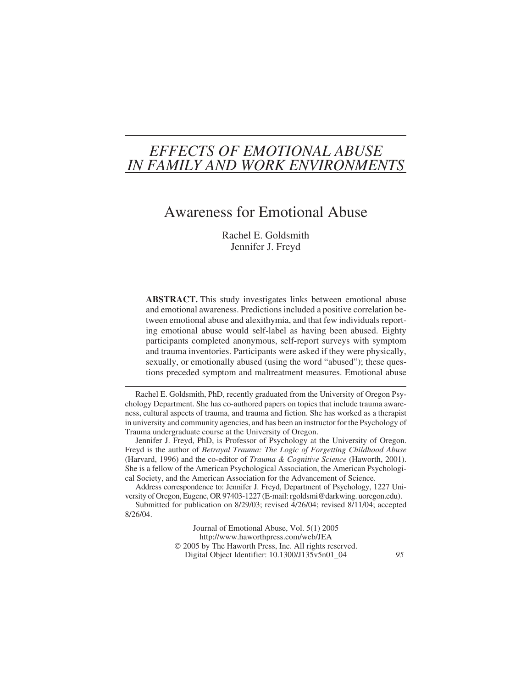# *EFFECTS OF EMOTIONAL ABUSE IN FAMILY AND WORK ENVIRONMENTS*

# Awareness for Emotional Abuse

Rachel E. Goldsmith Jennifer J. Freyd

**ABSTRACT.** This study investigates links between emotional abuse and emotional awareness. Predictions included a positive correlation between emotional abuse and alexithymia, and that few individuals reporting emotional abuse would self-label as having been abused. Eighty participants completed anonymous, self-report surveys with symptom and trauma inventories. Participants were asked if they were physically, sexually, or emotionally abused (using the word "abused"); these questions preceded symptom and maltreatment measures. Emotional abuse

Rachel E. Goldsmith, PhD, recently graduated from the University of Oregon Psychology Department. She has co-authored papers on topics that include trauma awareness, cultural aspects of trauma, and trauma and fiction. She has worked as a therapist in university and community agencies, and has been an instructor for the Psychology of Trauma undergraduate course at the University of Oregon.

Jennifer J. Freyd, PhD, is Professor of Psychology at the University of Oregon. Freyd is the author of *Betrayal Trauma: The Logic of Forgetting Childhood Abuse* (Harvard, 1996) and the co-editor of *Trauma & Cognitive Science* (Haworth, 2001). She is a fellow of the American Psychological Association, the American Psychological Society, and the American Association for the Advancement of Science.

Address correspondence to: Jennifer J. Freyd, Department of Psychology, 1227 University of Oregon, Eugene, OR 97403-1227 (E-mail: rgoldsmi@darkwing. uoregon.edu).

Submitted for publication on 8/29/03; revised 4/26/04; revised 8/11/04; accepted 8/26/04.

> Journal of Emotional Abuse, Vol. 5(1) 2005 http://www.haworthpress.com/web/JEA 2005 by The Haworth Press, Inc. All rights reserved. Digital Object Identifier: 10.1300/J135v5n01\_04 *95*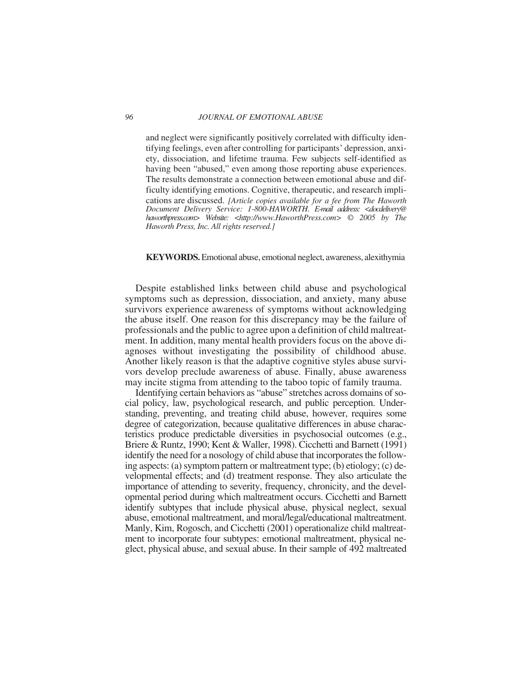and neglect were significantly positively correlated with difficulty identifying feelings, even after controlling for participants' depression, anxiety, dissociation, and lifetime trauma. Few subjects self-identified as having been "abused," even among those reporting abuse experiences. The results demonstrate a connection between emotional abuse and difficulty identifying emotions. Cognitive, therapeutic, and research implications are discussed. *[Article copies available for a fee from The Haworth Document Delivery Service: 1-800-HAWORTH. E-mail address: <docdelivery@ haworthpress.com> Website: <http://www.HaworthPress.com> © 2005 by The Haworth Press, Inc. All rights reserved.]*

# **KEYWORDS.**Emotional abuse, emotional neglect, awareness, alexithymia

Despite established links between child abuse and psychological symptoms such as depression, dissociation, and anxiety, many abuse survivors experience awareness of symptoms without acknowledging the abuse itself. One reason for this discrepancy may be the failure of professionals and the public to agree upon a definition of child maltreatment. In addition, many mental health providers focus on the above diagnoses without investigating the possibility of childhood abuse. Another likely reason is that the adaptive cognitive styles abuse survivors develop preclude awareness of abuse. Finally, abuse awareness may incite stigma from attending to the taboo topic of family trauma.

Identifying certain behaviors as "abuse" stretches across domains of social policy, law, psychological research, and public perception. Understanding, preventing, and treating child abuse, however, requires some degree of categorization, because qualitative differences in abuse characteristics produce predictable diversities in psychosocial outcomes (e.g., Briere & Runtz, 1990; Kent & Waller, 1998). Cicchetti and Barnett (1991) identify the need for a nosology of child abuse that incorporates the following aspects: (a) symptom pattern or maltreatment type; (b) etiology; (c) developmental effects; and (d) treatment response. They also articulate the importance of attending to severity, frequency, chronicity, and the developmental period during which maltreatment occurs. Cicchetti and Barnett identify subtypes that include physical abuse, physical neglect, sexual abuse, emotional maltreatment, and moral/legal/educational maltreatment. Manly, Kim, Rogosch, and Cicchetti (2001) operationalize child maltreatment to incorporate four subtypes: emotional maltreatment, physical neglect, physical abuse, and sexual abuse. In their sample of 492 maltreated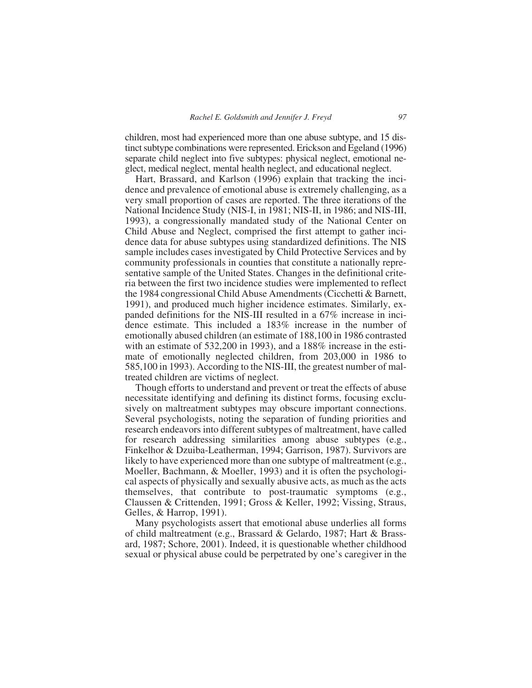children, most had experienced more than one abuse subtype, and 15 distinct subtype combinations were represented. Erickson and Egeland (1996) separate child neglect into five subtypes: physical neglect, emotional neglect, medical neglect, mental health neglect, and educational neglect.

Hart, Brassard, and Karlson (1996) explain that tracking the incidence and prevalence of emotional abuse is extremely challenging, as a very small proportion of cases are reported. The three iterations of the National Incidence Study (NIS-I, in 1981; NIS-II, in 1986; and NIS-III, 1993), a congressionally mandated study of the National Center on Child Abuse and Neglect, comprised the first attempt to gather incidence data for abuse subtypes using standardized definitions. The NIS sample includes cases investigated by Child Protective Services and by community professionals in counties that constitute a nationally representative sample of the United States. Changes in the definitional criteria between the first two incidence studies were implemented to reflect the 1984 congressional Child Abuse Amendments (Cicchetti & Barnett, 1991), and produced much higher incidence estimates. Similarly, expanded definitions for the NIS-III resulted in a 67% increase in incidence estimate. This included a 183% increase in the number of emotionally abused children (an estimate of 188,100 in 1986 contrasted with an estimate of  $532,200$  in 1993), and a  $188\%$  increase in the estimate of emotionally neglected children, from 203,000 in 1986 to 585,100 in 1993). According to the NIS-III, the greatest number of maltreated children are victims of neglect.

Though efforts to understand and prevent or treat the effects of abuse necessitate identifying and defining its distinct forms, focusing exclusively on maltreatment subtypes may obscure important connections. Several psychologists, noting the separation of funding priorities and research endeavors into different subtypes of maltreatment, have called for research addressing similarities among abuse subtypes (e.g., Finkelhor & Dzuiba-Leatherman, 1994; Garrison, 1987). Survivors are likely to have experienced more than one subtype of maltreatment (e.g., Moeller, Bachmann, & Moeller, 1993) and it is often the psychological aspects of physically and sexually abusive acts, as much as the acts themselves, that contribute to post-traumatic symptoms (e.g., Claussen & Crittenden, 1991; Gross & Keller, 1992; Vissing, Straus, Gelles, & Harrop, 1991).

Many psychologists assert that emotional abuse underlies all forms of child maltreatment (e.g., Brassard & Gelardo, 1987; Hart & Brassard, 1987; Schore, 2001). Indeed, it is questionable whether childhood sexual or physical abuse could be perpetrated by one's caregiver in the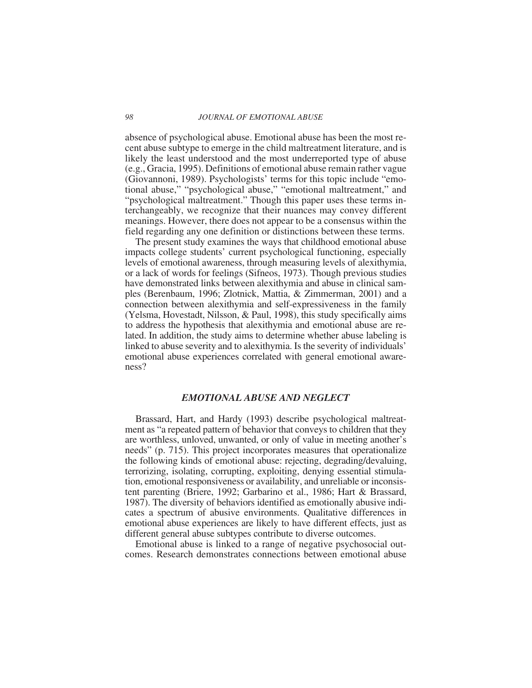absence of psychological abuse. Emotional abuse has been the most recent abuse subtype to emerge in the child maltreatment literature, and is likely the least understood and the most underreported type of abuse (e.g., Gracia, 1995). Definitions of emotional abuse remain rather vague (Giovannoni, 1989). Psychologists' terms for this topic include "emotional abuse," "psychological abuse," "emotional maltreatment," and "psychological maltreatment." Though this paper uses these terms interchangeably, we recognize that their nuances may convey different meanings. However, there does not appear to be a consensus within the field regarding any one definition or distinctions between these terms.

The present study examines the ways that childhood emotional abuse impacts college students' current psychological functioning, especially levels of emotional awareness, through measuring levels of alexithymia, or a lack of words for feelings (Sifneos, 1973). Though previous studies have demonstrated links between alexithymia and abuse in clinical samples (Berenbaum, 1996; Zlotnick, Mattia, & Zimmerman, 2001) and a connection between alexithymia and self-expressiveness in the family (Yelsma, Hovestadt, Nilsson, & Paul, 1998), this study specifically aims to address the hypothesis that alexithymia and emotional abuse are related. In addition, the study aims to determine whether abuse labeling is linked to abuse severity and to alexithymia. Is the severity of individuals' emotional abuse experiences correlated with general emotional awareness?

# *EMOTIONAL ABUSE AND NEGLECT*

Brassard, Hart, and Hardy (1993) describe psychological maltreatment as "a repeated pattern of behavior that conveys to children that they are worthless, unloved, unwanted, or only of value in meeting another's needs" (p. 715). This project incorporates measures that operationalize the following kinds of emotional abuse: rejecting, degrading/devaluing, terrorizing, isolating, corrupting, exploiting, denying essential stimulation, emotional responsiveness or availability, and unreliable or inconsistent parenting (Briere, 1992; Garbarino et al., 1986; Hart & Brassard, 1987). The diversity of behaviors identified as emotionally abusive indicates a spectrum of abusive environments. Qualitative differences in emotional abuse experiences are likely to have different effects, just as different general abuse subtypes contribute to diverse outcomes.

Emotional abuse is linked to a range of negative psychosocial outcomes. Research demonstrates connections between emotional abuse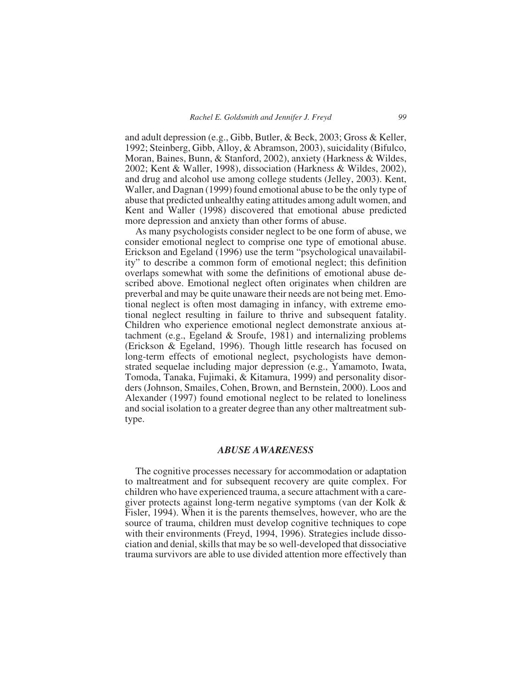and adult depression (e.g., Gibb, Butler, & Beck, 2003; Gross & Keller, 1992; Steinberg, Gibb, Alloy, & Abramson, 2003), suicidality (Bifulco, Moran, Baines, Bunn, & Stanford, 2002), anxiety (Harkness & Wildes, 2002; Kent & Waller, 1998), dissociation (Harkness & Wildes, 2002), and drug and alcohol use among college students (Jelley, 2003). Kent, Waller, and Dagnan (1999) found emotional abuse to be the only type of abuse that predicted unhealthy eating attitudes among adult women, and Kent and Waller (1998) discovered that emotional abuse predicted more depression and anxiety than other forms of abuse.

As many psychologists consider neglect to be one form of abuse, we consider emotional neglect to comprise one type of emotional abuse. Erickson and Egeland (1996) use the term "psychological unavailability" to describe a common form of emotional neglect; this definition overlaps somewhat with some the definitions of emotional abuse described above. Emotional neglect often originates when children are preverbal and may be quite unaware their needs are not being met. Emotional neglect is often most damaging in infancy, with extreme emotional neglect resulting in failure to thrive and subsequent fatality. Children who experience emotional neglect demonstrate anxious attachment (e.g., Egeland & Sroufe, 1981) and internalizing problems (Erickson & Egeland, 1996). Though little research has focused on long-term effects of emotional neglect, psychologists have demonstrated sequelae including major depression (e.g., Yamamoto, Iwata, Tomoda, Tanaka, Fujimaki, & Kitamura, 1999) and personality disorders (Johnson, Smailes, Cohen, Brown, and Bernstein, 2000). Loos and Alexander (1997) found emotional neglect to be related to loneliness and social isolation to a greater degree than any other maltreatment subtype.

# *ABUSE AWARENESS*

The cognitive processes necessary for accommodation or adaptation to maltreatment and for subsequent recovery are quite complex. For children who have experienced trauma, a secure attachment with a caregiver protects against long-term negative symptoms (van der Kolk & Fisler, 1994). When it is the parents themselves, however, who are the source of trauma, children must develop cognitive techniques to cope with their environments (Freyd, 1994, 1996). Strategies include dissociation and denial, skills that may be so well-developed that dissociative trauma survivors are able to use divided attention more effectively than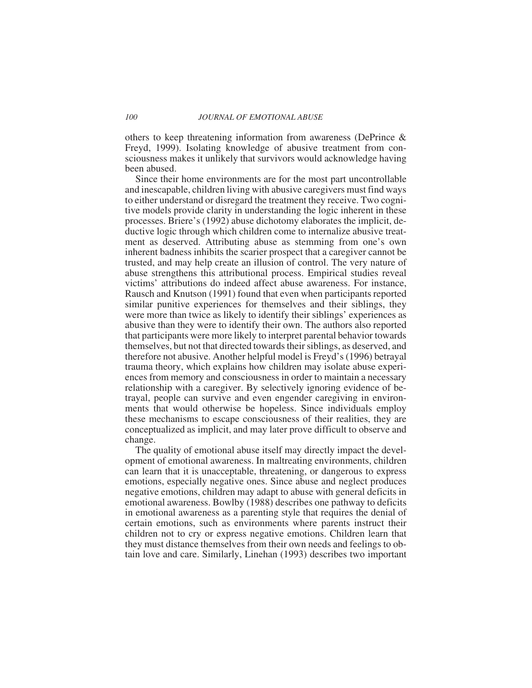others to keep threatening information from awareness (DePrince & Freyd, 1999). Isolating knowledge of abusive treatment from consciousness makes it unlikely that survivors would acknowledge having been abused.

Since their home environments are for the most part uncontrollable and inescapable, children living with abusive caregivers must find ways to either understand or disregard the treatment they receive. Two cognitive models provide clarity in understanding the logic inherent in these processes. Briere's (1992) abuse dichotomy elaborates the implicit, deductive logic through which children come to internalize abusive treatment as deserved. Attributing abuse as stemming from one's own inherent badness inhibits the scarier prospect that a caregiver cannot be trusted, and may help create an illusion of control. The very nature of abuse strengthens this attributional process. Empirical studies reveal victims' attributions do indeed affect abuse awareness. For instance, Rausch and Knutson (1991) found that even when participants reported similar punitive experiences for themselves and their siblings, they were more than twice as likely to identify their siblings' experiences as abusive than they were to identify their own. The authors also reported that participants were more likely to interpret parental behavior towards themselves, but not that directed towards their siblings, as deserved, and therefore not abusive. Another helpful model is Freyd's (1996) betrayal trauma theory, which explains how children may isolate abuse experiences from memory and consciousness in order to maintain a necessary relationship with a caregiver. By selectively ignoring evidence of betrayal, people can survive and even engender caregiving in environments that would otherwise be hopeless. Since individuals employ these mechanisms to escape consciousness of their realities, they are conceptualized as implicit, and may later prove difficult to observe and change.

The quality of emotional abuse itself may directly impact the development of emotional awareness. In maltreating environments, children can learn that it is unacceptable, threatening, or dangerous to express emotions, especially negative ones. Since abuse and neglect produces negative emotions, children may adapt to abuse with general deficits in emotional awareness. Bowlby (1988) describes one pathway to deficits in emotional awareness as a parenting style that requires the denial of certain emotions, such as environments where parents instruct their children not to cry or express negative emotions. Children learn that they must distance themselves from their own needs and feelings to obtain love and care. Similarly, Linehan (1993) describes two important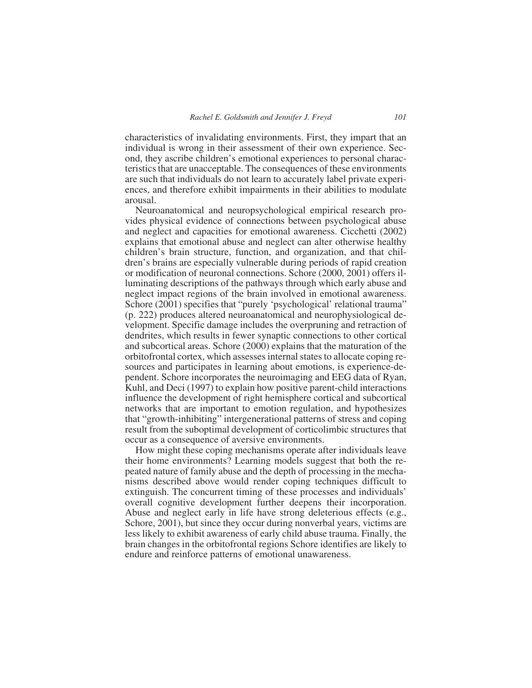characteristics of invalidating environments. First, they impart that an individual is wrong in their assessment of their own experience. Second, they ascribe children's emotional experiences to personal characteristics that are unacceptable. The consequences of these environments are such that individuals do not learn to accurately label private experiences, and therefore exhibit impairments in their abilities to modulate arousal.

Neuroanatomical and neuropsychological empirical research provides physical evidence of connections between psychological abuse and neglect and capacities for emotional awareness. Cicchetti (2002) explains that emotional abuse and neglect can alter otherwise healthy children's brain structure, function, and organization, and that children's brains are especially vulnerable during periods of rapid creation or modification of neuronal connections. Schore (2000, 2001) offers illuminating descriptions of the pathways through which early abuse and neglect impact regions of the brain involved in emotional awareness. Schore (2001) specifies that "purely 'psychological' relational trauma" (p. 222) produces altered neuroanatomical and neurophysiological development. Specific damage includes the overpruning and retraction of dendrites, which results in fewer synaptic connections to other cortical and subcortical areas. Schore (2000) explains that the maturation of the orbitofrontal cortex, which assesses internal states to allocate coping resources and participates in learning about emotions, is experience-dependent. Schore incorporates the neuroimaging and EEG data of Ryan, Kuhl, and Deci (1997) to explain how positive parent-child interactions influence the development of right hemisphere cortical and subcortical networks that are important to emotion regulation, and hypothesizes that "growth-inhibiting" intergenerational patterns of stress and coping result from the suboptimal development of corticolimbic structures that occur as a consequence of aversive environments.

How might these coping mechanisms operate after individuals leave their home environments? Learning models suggest that both the repeated nature of family abuse and the depth of processing in the mechanisms described above would render coping techniques difficult to extinguish. The concurrent timing of these processes and individuals' overall cognitive development further deepens their incorporation. Abuse and neglect early in life have strong deleterious effects (e.g., Schore, 2001), but since they occur during nonverbal years, victims are less likely to exhibit awareness of early child abuse trauma. Finally, the brain changes in the orbitofrontal regions Schore identifies are likely to endure and reinforce patterns of emotional unawareness.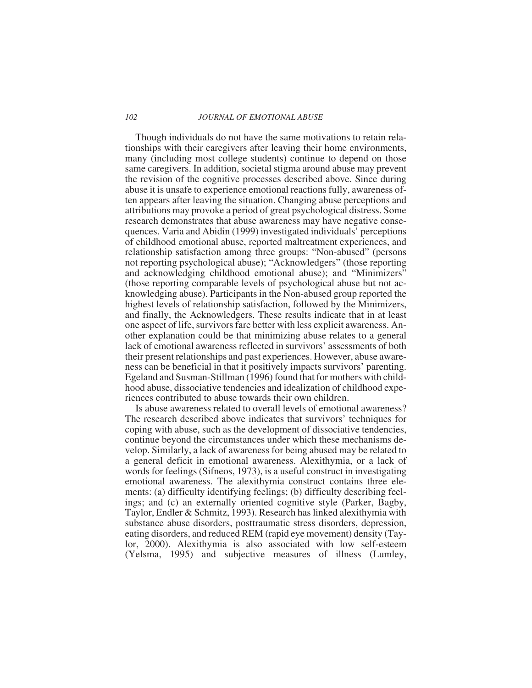#### *102 JOURNAL OF EMOTIONAL ABUSE*

Though individuals do not have the same motivations to retain relationships with their caregivers after leaving their home environments, many (including most college students) continue to depend on those same caregivers. In addition, societal stigma around abuse may prevent the revision of the cognitive processes described above. Since during abuse it is unsafe to experience emotional reactions fully, awareness often appears after leaving the situation. Changing abuse perceptions and attributions may provoke a period of great psychological distress. Some research demonstrates that abuse awareness may have negative consequences. Varia and Abidin (1999) investigated individuals' perceptions of childhood emotional abuse, reported maltreatment experiences, and relationship satisfaction among three groups: "Non-abused" (persons not reporting psychological abuse); "Acknowledgers" (those reporting and acknowledging childhood emotional abuse); and "Minimizers" (those reporting comparable levels of psychological abuse but not acknowledging abuse). Participants in the Non-abused group reported the highest levels of relationship satisfaction, followed by the Minimizers, and finally, the Acknowledgers. These results indicate that in at least one aspect of life, survivors fare better with less explicit awareness. Another explanation could be that minimizing abuse relates to a general lack of emotional awareness reflected in survivors' assessments of both their present relationships and past experiences. However, abuse awareness can be beneficial in that it positively impacts survivors' parenting. Egeland and Susman-Stillman (1996) found that for mothers with childhood abuse, dissociative tendencies and idealization of childhood experiences contributed to abuse towards their own children.

Is abuse awareness related to overall levels of emotional awareness? The research described above indicates that survivors' techniques for coping with abuse, such as the development of dissociative tendencies, continue beyond the circumstances under which these mechanisms develop. Similarly, a lack of awareness for being abused may be related to a general deficit in emotional awareness. Alexithymia, or a lack of words for feelings (Sifneos, 1973), is a useful construct in investigating emotional awareness. The alexithymia construct contains three elements: (a) difficulty identifying feelings; (b) difficulty describing feelings; and (c) an externally oriented cognitive style (Parker, Bagby, Taylor, Endler & Schmitz, 1993). Research has linked alexithymia with substance abuse disorders, posttraumatic stress disorders, depression, eating disorders, and reduced REM (rapid eye movement) density (Taylor, 2000). Alexithymia is also associated with low self-esteem (Yelsma, 1995) and subjective measures of illness (Lumley,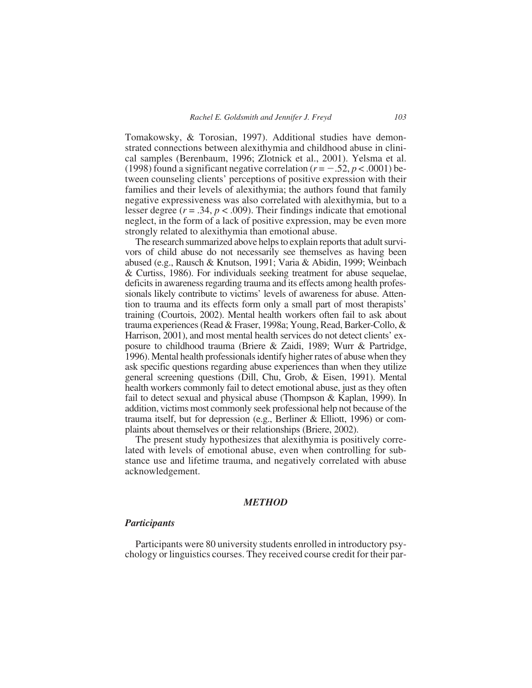Tomakowsky, & Torosian, 1997). Additional studies have demonstrated connections between alexithymia and childhood abuse in clinical samples (Berenbaum, 1996; Zlotnick et al., 2001). Yelsma et al. (1998) found a significant negative correlation  $(r = -.52, p < .0001)$  between counseling clients' perceptions of positive expression with their families and their levels of alexithymia; the authors found that family negative expressiveness was also correlated with alexithymia, but to a lesser degree ( $r = .34$ ,  $p < .009$ ). Their findings indicate that emotional neglect, in the form of a lack of positive expression, may be even more strongly related to alexithymia than emotional abuse.

The research summarized above helps to explain reports that adult survivors of child abuse do not necessarily see themselves as having been abused (e.g., Rausch & Knutson, 1991; Varia & Abidin, 1999; Weinbach & Curtiss, 1986). For individuals seeking treatment for abuse sequelae, deficits in awareness regarding trauma and its effects among health professionals likely contribute to victims' levels of awareness for abuse. Attention to trauma and its effects form only a small part of most therapists' training (Courtois, 2002). Mental health workers often fail to ask about trauma experiences (Read & Fraser, 1998a; Young, Read, Barker-Collo, & Harrison, 2001), and most mental health services do not detect clients' exposure to childhood trauma (Briere & Zaidi, 1989; Wurr & Partridge, 1996). Mental health professionals identify higher rates of abuse when they ask specific questions regarding abuse experiences than when they utilize general screening questions (Dill, Chu, Grob, & Eisen, 1991). Mental health workers commonly fail to detect emotional abuse, just as they often fail to detect sexual and physical abuse (Thompson & Kaplan, 1999). In addition, victims most commonly seek professional help not because of the trauma itself, but for depression (e.g., Berliner & Elliott, 1996) or complaints about themselves or their relationships (Briere, 2002).

The present study hypothesizes that alexithymia is positively correlated with levels of emotional abuse, even when controlling for substance use and lifetime trauma, and negatively correlated with abuse acknowledgement.

# *METHOD*

# *Participants*

Participants were 80 university students enrolled in introductory psychology or linguistics courses. They received course credit for their par-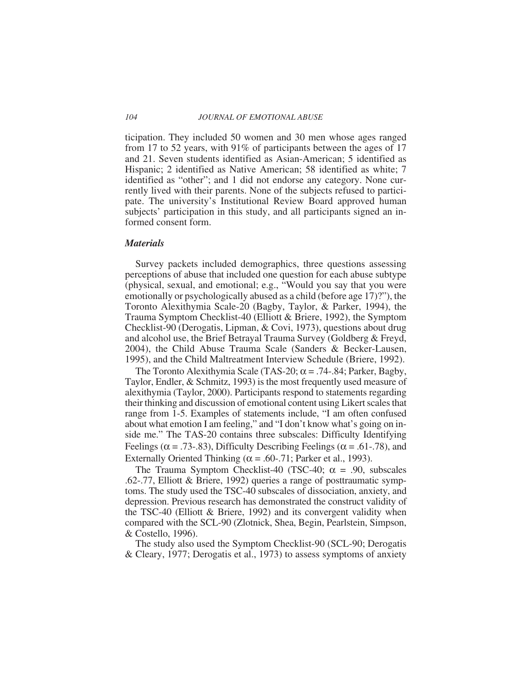ticipation. They included 50 women and 30 men whose ages ranged from 17 to 52 years, with 91% of participants between the ages of 17 and 21. Seven students identified as Asian-American; 5 identified as Hispanic; 2 identified as Native American; 58 identified as white; 7 identified as "other"; and 1 did not endorse any category. None currently lived with their parents. None of the subjects refused to participate. The university's Institutional Review Board approved human subjects' participation in this study, and all participants signed an informed consent form.

# *Materials*

Survey packets included demographics, three questions assessing perceptions of abuse that included one question for each abuse subtype (physical, sexual, and emotional; e.g., "Would you say that you were emotionally or psychologically abused as a child (before age 17)?"), the Toronto Alexithymia Scale-20 (Bagby, Taylor, & Parker, 1994), the Trauma Symptom Checklist-40 (Elliott & Briere, 1992), the Symptom Checklist-90 (Derogatis, Lipman, & Covi, 1973), questions about drug and alcohol use, the Brief Betrayal Trauma Survey (Goldberg & Freyd, 2004), the Child Abuse Trauma Scale (Sanders & Becker-Lausen, 1995), and the Child Maltreatment Interview Schedule (Briere, 1992).

The Toronto Alexithymia Scale (TAS-20;  $\alpha$  = .74-.84; Parker, Bagby, Taylor, Endler, & Schmitz, 1993) is the most frequently used measure of alexithymia (Taylor, 2000). Participants respond to statements regarding their thinking and discussion of emotional content using Likert scales that range from 1-5. Examples of statements include, "I am often confused about what emotion I am feeling," and "I don't know what's going on inside me." The TAS-20 contains three subscales: Difficulty Identifying Feelings ( $\alpha$  = .73-.83), Difficulty Describing Feelings ( $\alpha$  = .61-.78), and Externally Oriented Thinking ( $\alpha$  = .60-.71; Parker et al., 1993).

The Trauma Symptom Checklist-40 (TSC-40;  $\alpha = .90$ , subscales .62-.77, Elliott & Briere, 1992) queries a range of posttraumatic symptoms. The study used the TSC-40 subscales of dissociation, anxiety, and depression. Previous research has demonstrated the construct validity of the TSC-40 (Elliott & Briere, 1992) and its convergent validity when compared with the SCL-90 (Zlotnick, Shea, Begin, Pearlstein, Simpson, & Costello, 1996).

The study also used the Symptom Checklist-90 (SCL-90; Derogatis & Cleary, 1977; Derogatis et al., 1973) to assess symptoms of anxiety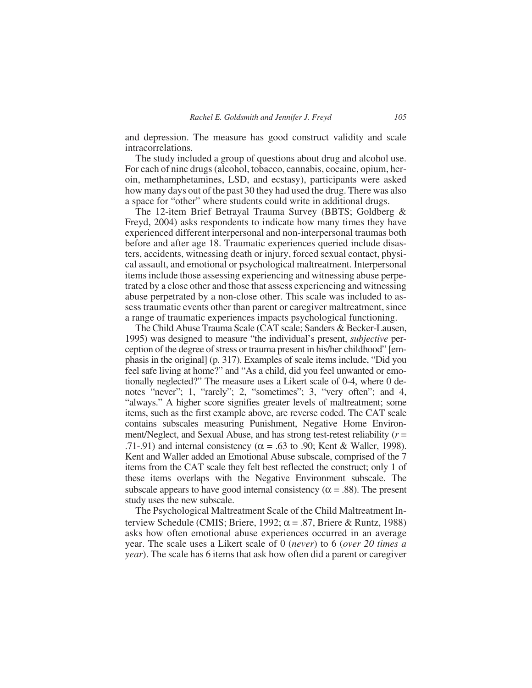and depression. The measure has good construct validity and scale intracorrelations.

The study included a group of questions about drug and alcohol use. For each of nine drugs (alcohol, tobacco, cannabis, cocaine, opium, heroin, methamphetamines, LSD, and ecstasy), participants were asked how many days out of the past 30 they had used the drug. There was also a space for "other" where students could write in additional drugs.

The 12-item Brief Betrayal Trauma Survey (BBTS; Goldberg & Freyd, 2004) asks respondents to indicate how many times they have experienced different interpersonal and non-interpersonal traumas both before and after age 18. Traumatic experiences queried include disasters, accidents, witnessing death or injury, forced sexual contact, physical assault, and emotional or psychological maltreatment. Interpersonal items include those assessing experiencing and witnessing abuse perpetrated by a close other and those that assess experiencing and witnessing abuse perpetrated by a non-close other. This scale was included to assess traumatic events other than parent or caregiver maltreatment, since a range of traumatic experiences impacts psychological functioning.

The Child Abuse Trauma Scale (CAT scale; Sanders & Becker-Lausen, 1995) was designed to measure "the individual's present, *subjective* perception of the degree of stress or trauma present in his/her childhood" [emphasis in the original] (p. 317). Examples of scale items include, "Did you feel safe living at home?" and "As a child, did you feel unwanted or emotionally neglected?" The measure uses a Likert scale of 0-4, where 0 denotes "never"; 1, "rarely"; 2, "sometimes"; 3, "very often"; and 4, "always." A higher score signifies greater levels of maltreatment; some items, such as the first example above, are reverse coded. The CAT scale contains subscales measuring Punishment, Negative Home Environment/Neglect, and Sexual Abuse, and has strong test-retest reliability (*r* = .71-.91) and internal consistency ( $\alpha$  = .63 to .90; Kent & Waller, 1998). Kent and Waller added an Emotional Abuse subscale, comprised of the 7 items from the CAT scale they felt best reflected the construct; only 1 of these items overlaps with the Negative Environment subscale. The subscale appears to have good internal consistency ( $\alpha$  = .88). The present study uses the new subscale.

The Psychological Maltreatment Scale of the Child Maltreatment Interview Schedule (CMIS; Briere, 1992;  $\alpha = .87$ , Briere & Runtz, 1988) asks how often emotional abuse experiences occurred in an average year. The scale uses a Likert scale of 0 (*never*) to 6 (*over 20 times a year*). The scale has 6 items that ask how often did a parent or caregiver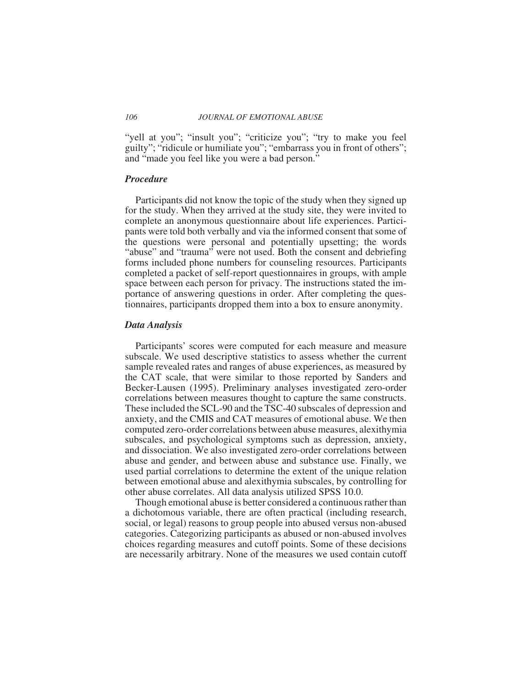"yell at you"; "insult you"; "criticize you"; "try to make you feel guilty"; "ridicule or humiliate you"; "embarrass you in front of others"; and "made you feel like you were a bad person."

# *Procedure*

Participants did not know the topic of the study when they signed up for the study. When they arrived at the study site, they were invited to complete an anonymous questionnaire about life experiences. Participants were told both verbally and via the informed consent that some of the questions were personal and potentially upsetting; the words "abuse" and "trauma" were not used. Both the consent and debriefing forms included phone numbers for counseling resources. Participants completed a packet of self-report questionnaires in groups, with ample space between each person for privacy. The instructions stated the importance of answering questions in order. After completing the questionnaires, participants dropped them into a box to ensure anonymity.

#### *Data Analysis*

Participants' scores were computed for each measure and measure subscale. We used descriptive statistics to assess whether the current sample revealed rates and ranges of abuse experiences, as measured by the CAT scale, that were similar to those reported by Sanders and Becker-Lausen (1995). Preliminary analyses investigated zero-order correlations between measures thought to capture the same constructs. These included the SCL-90 and the TSC-40 subscales of depression and anxiety, and the CMIS and CAT measures of emotional abuse. We then computed zero-order correlations between abuse measures, alexithymia subscales, and psychological symptoms such as depression, anxiety, and dissociation. We also investigated zero-order correlations between abuse and gender, and between abuse and substance use. Finally, we used partial correlations to determine the extent of the unique relation between emotional abuse and alexithymia subscales, by controlling for other abuse correlates. All data analysis utilized SPSS 10.0.

Though emotional abuse is better considered a continuous rather than a dichotomous variable, there are often practical (including research, social, or legal) reasons to group people into abused versus non-abused categories. Categorizing participants as abused or non-abused involves choices regarding measures and cutoff points. Some of these decisions are necessarily arbitrary. None of the measures we used contain cutoff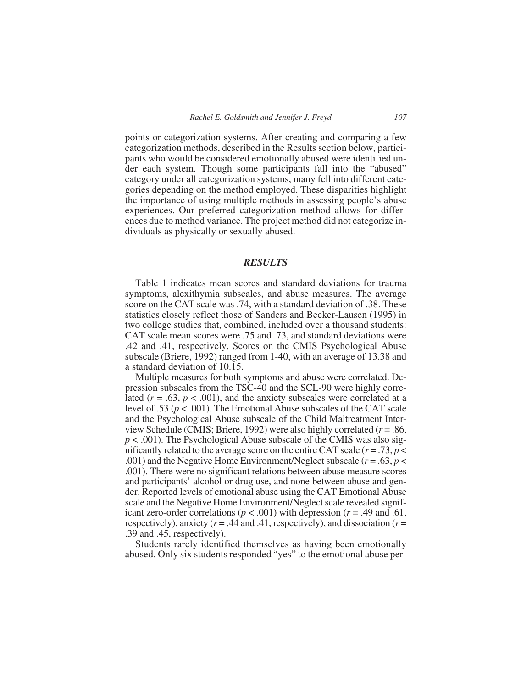points or categorization systems. After creating and comparing a few categorization methods, described in the Results section below, participants who would be considered emotionally abused were identified under each system. Though some participants fall into the "abused" category under all categorization systems, many fell into different categories depending on the method employed. These disparities highlight the importance of using multiple methods in assessing people's abuse experiences. Our preferred categorization method allows for differences due to method variance. The project method did not categorize individuals as physically or sexually abused.

# *RESULTS*

Table 1 indicates mean scores and standard deviations for trauma symptoms, alexithymia subscales, and abuse measures. The average score on the CAT scale was .74, with a standard deviation of .38. These statistics closely reflect those of Sanders and Becker-Lausen (1995) in two college studies that, combined, included over a thousand students: CAT scale mean scores were .75 and .73, and standard deviations were .42 and .41, respectively. Scores on the CMIS Psychological Abuse subscale (Briere, 1992) ranged from 1-40, with an average of 13.38 and a standard deviation of 10.15.

Multiple measures for both symptoms and abuse were correlated. Depression subscales from the TSC-40 and the SCL-90 were highly correlated  $(r = .63, p < .001)$ , and the anxiety subscales were correlated at a level of .53 (*p* < .001). The Emotional Abuse subscales of the CAT scale and the Psychological Abuse subscale of the Child Maltreatment Interview Schedule (CMIS; Briere, 1992) were also highly correlated (*r* = .86, *p* < .001). The Psychological Abuse subscale of the CMIS was also significantly related to the average score on the entire CAT scale  $(r = .73, p <$ .001) and the Negative Home Environment/Neglect subscale (*r* = .63, *p* < .001). There were no significant relations between abuse measure scores and participants' alcohol or drug use, and none between abuse and gender. Reported levels of emotional abuse using the CAT Emotional Abuse scale and the Negative Home Environment/Neglect scale revealed significant zero-order correlations ( $p < .001$ ) with depression ( $r = .49$  and .61, respectively), anxiety ( $r = .44$  and  $.41$ , respectively), and dissociation ( $r =$ .39 and .45, respectively).

Students rarely identified themselves as having been emotionally abused. Only six students responded "yes" to the emotional abuse per-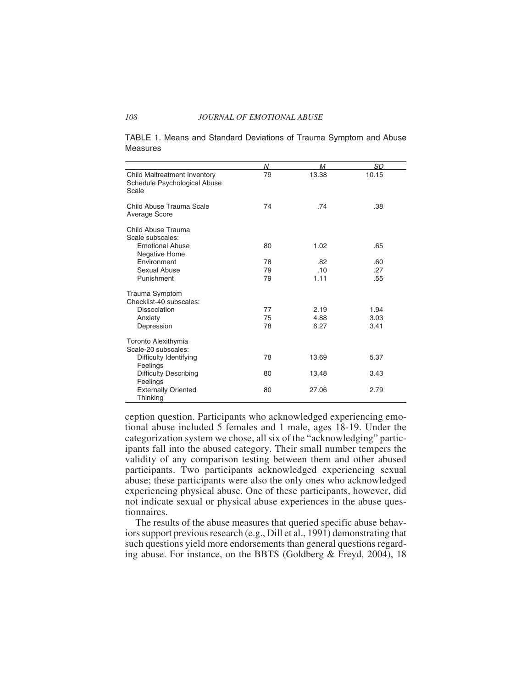|                 |  | TABLE 1. Means and Standard Deviations of Trauma Symptom and Abuse |  |  |  |
|-----------------|--|--------------------------------------------------------------------|--|--|--|
| <b>Measures</b> |  |                                                                    |  |  |  |

|                                                                       | N  | M     | <b>SD</b> |
|-----------------------------------------------------------------------|----|-------|-----------|
| Child Maltreatment Inventory<br>Schedule Psychological Abuse<br>Scale | 79 | 13.38 | 10.15     |
| Child Abuse Trauma Scale<br>Average Score                             | 74 | .74   | .38       |
| Child Abuse Trauma<br>Scale subscales:                                |    |       |           |
| <b>Emotional Abuse</b><br>Negative Home                               | 80 | 1.02  | .65       |
| Environment                                                           | 78 | .82   | .60       |
| Sexual Abuse                                                          | 79 | .10   | .27       |
| Punishment                                                            | 79 | 1.11  | .55       |
| <b>Trauma Symptom</b><br>Checklist-40 subscales:                      |    |       |           |
| Dissociation                                                          | 77 | 2.19  | 1.94      |
| Anxiety                                                               | 75 | 4.88  | 3.03      |
| Depression                                                            | 78 | 6.27  | 3.41      |
| Toronto Alexithymia<br>Scale-20 subscales:                            |    |       |           |
| Difficulty Identifying<br>Feelings                                    | 78 | 13.69 | 5.37      |
| <b>Difficulty Describing</b><br>Feelings                              | 80 | 13.48 | 3.43      |
| <b>Externally Oriented</b><br>Thinking                                | 80 | 27.06 | 2.79      |

ception question. Participants who acknowledged experiencing emotional abuse included 5 females and 1 male, ages 18-19. Under the categorization system we chose, all six of the "acknowledging" participants fall into the abused category. Their small number tempers the validity of any comparison testing between them and other abused participants. Two participants acknowledged experiencing sexual abuse; these participants were also the only ones who acknowledged experiencing physical abuse. One of these participants, however, did not indicate sexual or physical abuse experiences in the abuse questionnaires.

The results of the abuse measures that queried specific abuse behaviors support previous research (e.g., Dill et al., 1991) demonstrating that such questions yield more endorsements than general questions regarding abuse. For instance, on the BBTS (Goldberg & Freyd, 2004), 18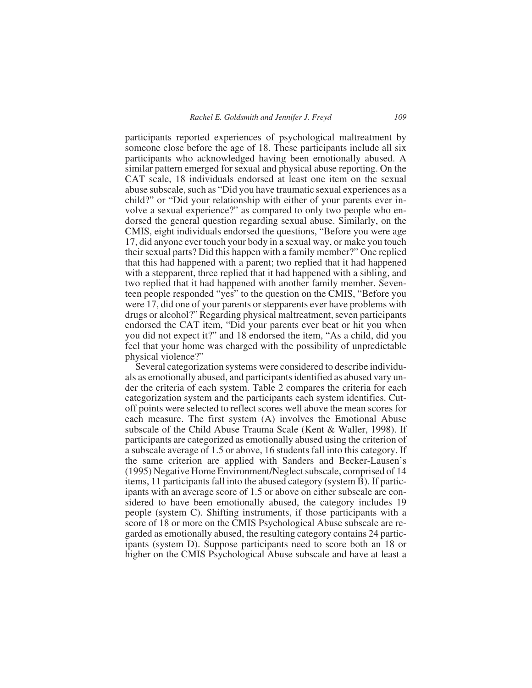participants reported experiences of psychological maltreatment by someone close before the age of 18. These participants include all six participants who acknowledged having been emotionally abused. A similar pattern emerged for sexual and physical abuse reporting. On the CAT scale, 18 individuals endorsed at least one item on the sexual abuse subscale, such as "Did you have traumatic sexual experiences as a child?" or "Did your relationship with either of your parents ever involve a sexual experience?" as compared to only two people who endorsed the general question regarding sexual abuse. Similarly, on the CMIS, eight individuals endorsed the questions, "Before you were age 17, did anyone ever touch your body in a sexual way, or make you touch their sexual parts? Did this happen with a family member?" One replied that this had happened with a parent; two replied that it had happened with a stepparent, three replied that it had happened with a sibling, and two replied that it had happened with another family member. Seventeen people responded "yes" to the question on the CMIS, "Before you were 17, did one of your parents or stepparents ever have problems with drugs or alcohol?" Regarding physical maltreatment, seven participants endorsed the CAT item, "Did your parents ever beat or hit you when you did not expect it?" and 18 endorsed the item, "As a child, did you feel that your home was charged with the possibility of unpredictable physical violence?"

Several categorization systems were considered to describe individuals as emotionally abused, and participants identified as abused vary under the criteria of each system. Table 2 compares the criteria for each categorization system and the participants each system identifies. Cutoff points were selected to reflect scores well above the mean scores for each measure. The first system (A) involves the Emotional Abuse subscale of the Child Abuse Trauma Scale (Kent & Waller, 1998). If participants are categorized as emotionally abused using the criterion of a subscale average of 1.5 or above, 16 students fall into this category. If the same criterion are applied with Sanders and Becker-Lausen's (1995) Negative Home Environment/Neglect subscale, comprised of 14 items, 11 participants fall into the abused category (system B). If participants with an average score of 1.5 or above on either subscale are considered to have been emotionally abused, the category includes 19 people (system C). Shifting instruments, if those participants with a score of 18 or more on the CMIS Psychological Abuse subscale are regarded as emotionally abused, the resulting category contains 24 participants (system D). Suppose participants need to score both an 18 or higher on the CMIS Psychological Abuse subscale and have at least a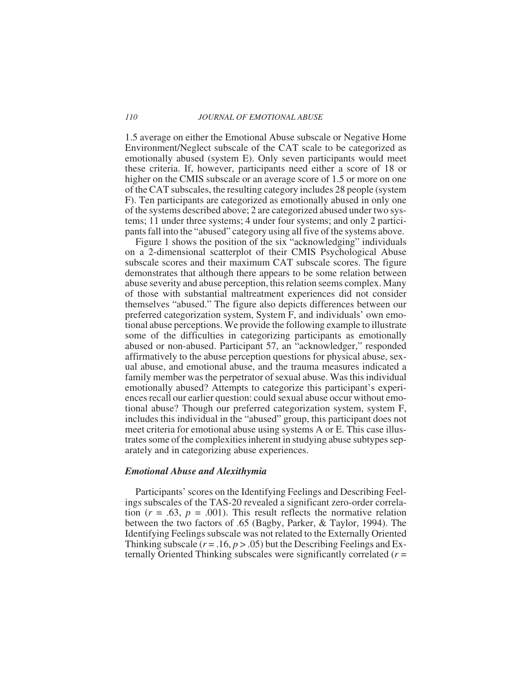1.5 average on either the Emotional Abuse subscale or Negative Home Environment/Neglect subscale of the CAT scale to be categorized as emotionally abused (system E). Only seven participants would meet these criteria. If, however, participants need either a score of 18 or higher on the CMIS subscale or an average score of 1.5 or more on one of the CAT subscales, the resulting category includes 28 people (system F). Ten participants are categorized as emotionally abused in only one of the systems described above; 2 are categorized abused under two systems; 11 under three systems; 4 under four systems; and only 2 participants fall into the "abused" category using all five of the systems above.

Figure 1 shows the position of the six "acknowledging" individuals on a 2-dimensional scatterplot of their CMIS Psychological Abuse subscale scores and their maximum CAT subscale scores. The figure demonstrates that although there appears to be some relation between abuse severity and abuse perception, this relation seems complex. Many of those with substantial maltreatment experiences did not consider themselves "abused." The figure also depicts differences between our preferred categorization system, System F, and individuals' own emotional abuse perceptions. We provide the following example to illustrate some of the difficulties in categorizing participants as emotionally abused or non-abused. Participant 57, an "acknowledger," responded affirmatively to the abuse perception questions for physical abuse, sexual abuse, and emotional abuse, and the trauma measures indicated a family member was the perpetrator of sexual abuse. Was this individual emotionally abused? Attempts to categorize this participant's experiences recall our earlier question: could sexual abuse occur without emotional abuse? Though our preferred categorization system, system F, includes this individual in the "abused" group, this participant does not meet criteria for emotional abuse using systems A or E. This case illustrates some of the complexities inherent in studying abuse subtypes separately and in categorizing abuse experiences.

# *Emotional Abuse and Alexithymia*

Participants' scores on the Identifying Feelings and Describing Feelings subscales of the TAS-20 revealed a significant zero-order correlation ( $r = .63$ ,  $p = .001$ ). This result reflects the normative relation between the two factors of .65 (Bagby, Parker, & Taylor, 1994). The Identifying Feelings subscale was not related to the Externally Oriented Thinking subscale  $(r = .16, p > .05)$  but the Describing Feelings and Externally Oriented Thinking subscales were significantly correlated (*r* =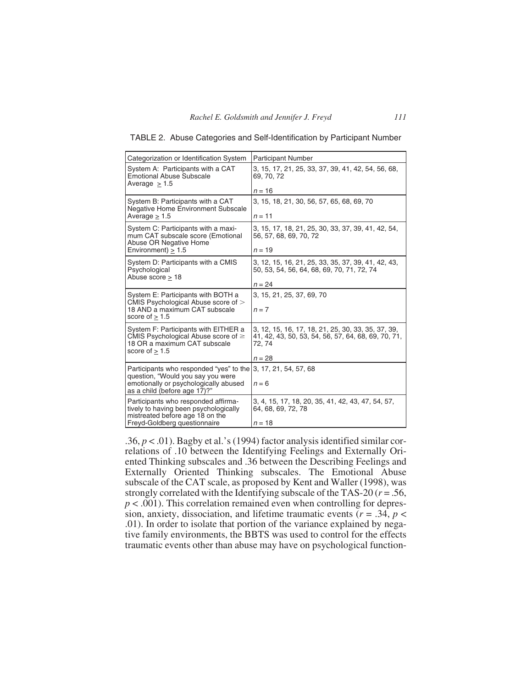TABLE 2. Abuse Categories and Self-Identification by Participant Number

| Categorization or Identification System                                                                                              | <b>Participant Number</b>                                                                                                       |  |  |
|--------------------------------------------------------------------------------------------------------------------------------------|---------------------------------------------------------------------------------------------------------------------------------|--|--|
| System A: Participants with a CAT<br><b>Emotional Abuse Subscale</b><br>Average $\geq 1.5$                                           | 3, 15, 17, 21, 25, 33, 37, 39, 41, 42, 54, 56, 68,<br>69, 70, 72                                                                |  |  |
|                                                                                                                                      | $n = 16$                                                                                                                        |  |  |
| System B: Participants with a CAT<br><b>Negative Home Environment Subscale</b>                                                       | 3, 15, 18, 21, 30, 56, 57, 65, 68, 69, 70                                                                                       |  |  |
| Average $> 1.5$                                                                                                                      | $n = 11$                                                                                                                        |  |  |
| System C: Participants with a maxi-<br>mum CAT subscale score (Emotional<br>Abuse OR Negative Home                                   | 3, 15, 17, 18, 21, 25, 30, 33, 37, 39, 41, 42, 54,<br>56, 57, 68, 69, 70, 72                                                    |  |  |
| Environment) $> 1.5$                                                                                                                 | $n = 19$                                                                                                                        |  |  |
| System D: Participants with a CMIS<br>Psychological<br>Abuse score > 18                                                              | 3, 12, 15, 16, 21, 25, 33, 35, 37, 39, 41, 42, 43,<br>50, 53, 54, 56, 64, 68, 69, 70, 71, 72, 74                                |  |  |
|                                                                                                                                      | $n = 24$                                                                                                                        |  |  |
| System E: Participants with BOTH a<br>CMIS Psychological Abuse score of $>$<br>18 AND a maximum CAT subscale<br>score of $> 1.5$     | 3, 15, 21, 25, 37, 69, 70<br>$n = 7$                                                                                            |  |  |
| System F: Participants with EITHER a<br>CMIS Psychological Abuse score of $\geq$<br>18 OR a maximum CAT subscale<br>score of $> 1.5$ | 3, 12, 15, 16, 17, 18, 21, 25, 30, 33, 35, 37, 39,<br>41, 42, 43, 50, 53, 54, 56, 57, 64, 68, 69, 70, 71,<br>72, 74<br>$n = 28$ |  |  |
| Participants who responded "yes" to the $ 3, 17, 21, 54, 57, 68$                                                                     |                                                                                                                                 |  |  |
| question, "Would you say you were<br>emotionally or psychologically abused<br>as a child (before age 17)?"                           | $n = 6$                                                                                                                         |  |  |
| Participants who responded affirma-<br>tively to having been psychologically<br>mistreated before age 18 on the                      | 3, 4, 15, 17, 18, 20, 35, 41, 42, 43, 47, 54, 57,<br>64, 68, 69, 72, 78                                                         |  |  |
| Freyd-Goldberg questionnaire                                                                                                         | $n = 18$                                                                                                                        |  |  |

.36,  $p < .01$ ). Bagby et al.'s (1994) factor analysis identified similar correlations of .10 between the Identifying Feelings and Externally Oriented Thinking subscales and .36 between the Describing Feelings and Externally Oriented Thinking subscales. The Emotional Abuse subscale of the CAT scale, as proposed by Kent and Waller (1998), was strongly correlated with the Identifying subscale of the TAS-20 (*r* = .56,  $p < .001$ ). This correlation remained even when controlling for depression, anxiety, dissociation, and lifetime traumatic events ( $r = .34$ ,  $p <$ .01). In order to isolate that portion of the variance explained by negative family environments, the BBTS was used to control for the effects traumatic events other than abuse may have on psychological function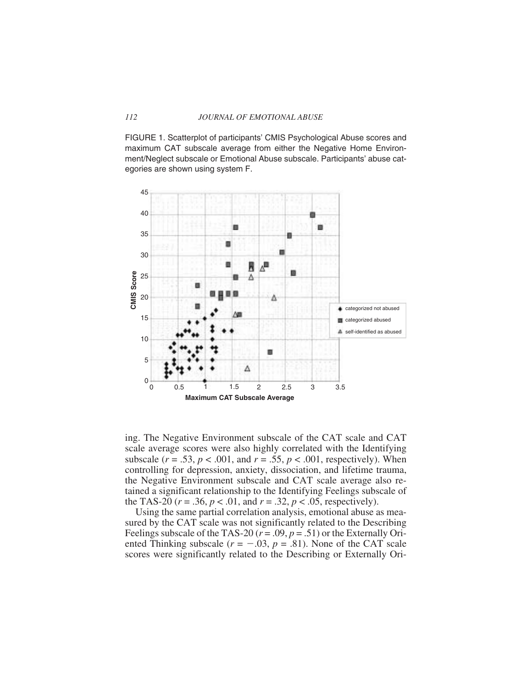FIGURE 1. Scatterplot of participants' CMIS Psychological Abuse scores and maximum CAT subscale average from either the Negative Home Environment/Neglect subscale or Emotional Abuse subscale. Participants' abuse categories are shown using system F.



ing. The Negative Environment subscale of the CAT scale and CAT scale average scores were also highly correlated with the Identifying subscale ( $r = .53$ ,  $p < .001$ , and  $r = .55$ ,  $p < .001$ , respectively). When controlling for depression, anxiety, dissociation, and lifetime trauma, the Negative Environment subscale and CAT scale average also retained a significant relationship to the Identifying Feelings subscale of the TAS-20 ( $r = .36$ ,  $p < .01$ , and  $r = .32$ ,  $p < .05$ , respectively).

Using the same partial correlation analysis, emotional abuse as measured by the CAT scale was not significantly related to the Describing Feelings subscale of the TAS-20 ( $r = .09$ ,  $p = .51$ ) or the Externally Oriented Thinking subscale  $(r = -.03, p = .81)$ . None of the CAT scale scores were significantly related to the Describing or Externally Ori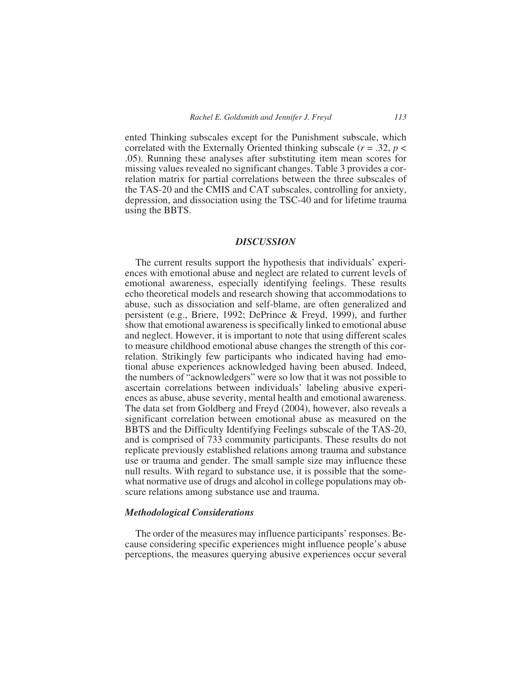ented Thinking subscales except for the Punishment subscale, which correlated with the Externally Oriented thinking subscale  $(r = .32, p <$ .05). Running these analyses after substituting item mean scores for missing values revealed no significant changes. Table 3 provides a correlation matrix for partial correlations between the three subscales of the TAS-20 and the CMIS and CAT subscales, controlling for anxiety, depression, and dissociation using the TSC-40 and for lifetime trauma using the BBTS.

# *DISCUSSION*

The current results support the hypothesis that individuals' experiences with emotional abuse and neglect are related to current levels of emotional awareness, especially identifying feelings. These results echo theoretical models and research showing that accommodations to abuse, such as dissociation and self-blame, are often generalized and persistent (e.g., Briere, 1992; DePrince & Freyd, 1999), and further show that emotional awareness is specifically linked to emotional abuse and neglect. However, it is important to note that using different scales to measure childhood emotional abuse changes the strength of this correlation. Strikingly few participants who indicated having had emotional abuse experiences acknowledged having been abused. Indeed, the numbers of "acknowledgers" were so low that it was not possible to ascertain correlations between individuals' labeling abusive experiences as abuse, abuse severity, mental health and emotional awareness. The data set from Goldberg and Freyd (2004), however, also reveals a significant correlation between emotional abuse as measured on the BBTS and the Difficulty Identifying Feelings subscale of the TAS-20, and is comprised of 733 community participants. These results do not replicate previously established relations among trauma and substance use or trauma and gender. The small sample size may influence these null results. With regard to substance use, it is possible that the somewhat normative use of drugs and alcohol in college populations may obscure relations among substance use and trauma.

# *Methodological Considerations*

The order of the measures may influence participants' responses. Because considering specific experiences might influence people's abuse perceptions, the measures querying abusive experiences occur several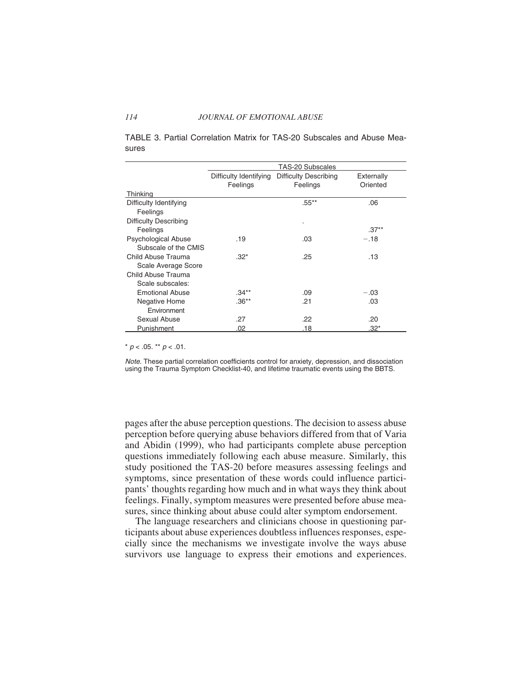TABLE 3. Partial Correlation Matrix for TAS-20 Subscales and Abuse Measures

|                              | TAS-20 Subscales       |                              |            |  |  |
|------------------------------|------------------------|------------------------------|------------|--|--|
|                              | Difficulty Identifying | <b>Difficulty Describing</b> | Externally |  |  |
|                              | Feelings               | Feelings                     | Oriented   |  |  |
| Thinking                     |                        |                              |            |  |  |
| Difficulty Identifying       |                        | $.55***$                     | .06        |  |  |
| Feelings                     |                        |                              |            |  |  |
| <b>Difficulty Describing</b> |                        |                              |            |  |  |
| Feelings                     |                        |                              | $.37**$    |  |  |
| <b>Psychological Abuse</b>   | .19                    | .03                          | $-.18$     |  |  |
| Subscale of the CMIS         |                        |                              |            |  |  |
| Child Abuse Trauma           | $.32*$                 | .25                          | .13        |  |  |
| Scale Average Score          |                        |                              |            |  |  |
| Child Abuse Trauma           |                        |                              |            |  |  |
| Scale subscales:             |                        |                              |            |  |  |
| <b>Emotional Abuse</b>       | $.34***$               | .09                          | $-.03$     |  |  |
| Negative Home                | $.36***$               | .21                          | .03        |  |  |
| <b>Fnvironment</b>           |                        |                              |            |  |  |
| Sexual Abuse                 | .27                    | .22                          | .20        |  |  |
| Punishment                   | .02                    | .18                          | .32*       |  |  |

\*  $p < .05$ . \*\*  $p < .01$ .

Note. These partial correlation coefficients control for anxiety, depression, and dissociation using the Trauma Symptom Checklist-40, and lifetime traumatic events using the BBTS.

pages after the abuse perception questions. The decision to assess abuse perception before querying abuse behaviors differed from that of Varia and Abidin (1999), who had participants complete abuse perception questions immediately following each abuse measure. Similarly, this study positioned the TAS-20 before measures assessing feelings and symptoms, since presentation of these words could influence participants' thoughts regarding how much and in what ways they think about feelings. Finally, symptom measures were presented before abuse measures, since thinking about abuse could alter symptom endorsement.

The language researchers and clinicians choose in questioning participants about abuse experiences doubtless influences responses, especially since the mechanisms we investigate involve the ways abuse survivors use language to express their emotions and experiences.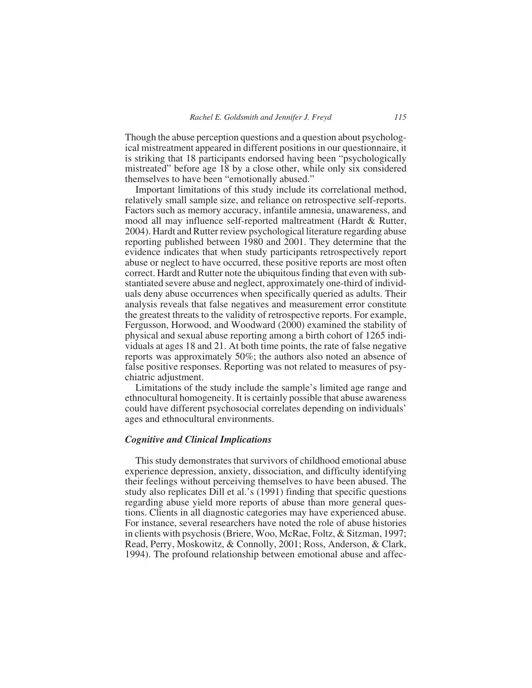Though the abuse perception questions and a question about psychological mistreatment appeared in different positions in our questionnaire, it is striking that 18 participants endorsed having been "psychologically mistreated" before age 18 by a close other, while only six considered themselves to have been "emotionally abused."

Important limitations of this study include its correlational method, relatively small sample size, and reliance on retrospective self-reports. Factors such as memory accuracy, infantile amnesia, unawareness, and mood all may influence self-reported maltreatment (Hardt & Rutter, 2004). Hardt and Rutter review psychological literature regarding abuse reporting published between 1980 and 2001. They determine that the evidence indicates that when study participants retrospectively report abuse or neglect to have occurred, these positive reports are most often correct. Hardt and Rutter note the ubiquitous finding that even with substantiated severe abuse and neglect, approximately one-third of individuals deny abuse occurrences when specifically queried as adults. Their analysis reveals that false negatives and measurement error constitute the greatest threats to the validity of retrospective reports. For example, Fergusson, Horwood, and Woodward (2000) examined the stability of physical and sexual abuse reporting among a birth cohort of 1265 individuals at ages 18 and 21. At both time points, the rate of false negative reports was approximately 50%; the authors also noted an absence of false positive responses. Reporting was not related to measures of psychiatric adjustment.

Limitations of the study include the sample's limited age range and ethnocultural homogeneity. It is certainly possible that abuse awareness could have different psychosocial correlates depending on individuals' ages and ethnocultural environments.

#### *Cognitive and Clinical Implications*

This study demonstrates that survivors of childhood emotional abuse experience depression, anxiety, dissociation, and difficulty identifying their feelings without perceiving themselves to have been abused. The study also replicates Dill et al.'s (1991) finding that specific questions regarding abuse yield more reports of abuse than more general questions. Clients in all diagnostic categories may have experienced abuse. For instance, several researchers have noted the role of abuse histories in clients with psychosis (Briere, Woo, McRae, Foltz, & Sitzman, 1997; Read, Perry, Moskowitz, & Connolly, 2001; Ross, Anderson, & Clark, 1994). The profound relationship between emotional abuse and affec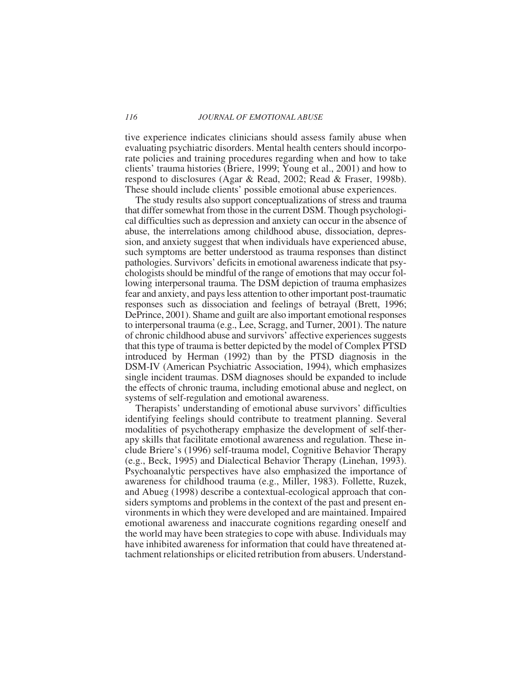tive experience indicates clinicians should assess family abuse when evaluating psychiatric disorders. Mental health centers should incorporate policies and training procedures regarding when and how to take clients' trauma histories (Briere, 1999; Young et al., 2001) and how to respond to disclosures (Agar & Read, 2002; Read & Fraser, 1998b). These should include clients' possible emotional abuse experiences.

The study results also support conceptualizations of stress and trauma that differ somewhat from those in the current DSM. Though psychological difficulties such as depression and anxiety can occur in the absence of abuse, the interrelations among childhood abuse, dissociation, depression, and anxiety suggest that when individuals have experienced abuse, such symptoms are better understood as trauma responses than distinct pathologies. Survivors' deficits in emotional awareness indicate that psychologists should be mindful of the range of emotions that may occur following interpersonal trauma. The DSM depiction of trauma emphasizes fear and anxiety, and pays less attention to other important post-traumatic responses such as dissociation and feelings of betrayal (Brett, 1996; DePrince, 2001). Shame and guilt are also important emotional responses to interpersonal trauma (e.g., Lee, Scragg, and Turner, 2001). The nature of chronic childhood abuse and survivors' affective experiences suggests that this type of trauma is better depicted by the model of Complex PTSD introduced by Herman (1992) than by the PTSD diagnosis in the DSM-IV (American Psychiatric Association, 1994), which emphasizes single incident traumas. DSM diagnoses should be expanded to include the effects of chronic trauma, including emotional abuse and neglect, on systems of self-regulation and emotional awareness.

Therapists' understanding of emotional abuse survivors' difficulties identifying feelings should contribute to treatment planning. Several modalities of psychotherapy emphasize the development of self-therapy skills that facilitate emotional awareness and regulation. These include Briere's (1996) self-trauma model, Cognitive Behavior Therapy (e.g., Beck, 1995) and Dialectical Behavior Therapy (Linehan, 1993). Psychoanalytic perspectives have also emphasized the importance of awareness for childhood trauma (e.g., Miller, 1983). Follette, Ruzek, and Abueg (1998) describe a contextual-ecological approach that considers symptoms and problems in the context of the past and present environments in which they were developed and are maintained. Impaired emotional awareness and inaccurate cognitions regarding oneself and the world may have been strategies to cope with abuse. Individuals may have inhibited awareness for information that could have threatened attachment relationships or elicited retribution from abusers. Understand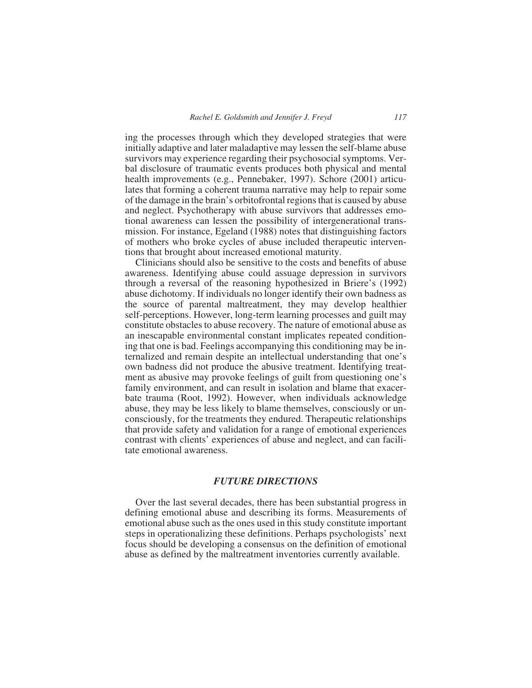ing the processes through which they developed strategies that were initially adaptive and later maladaptive may lessen the self-blame abuse survivors may experience regarding their psychosocial symptoms. Verbal disclosure of traumatic events produces both physical and mental health improvements (e.g., Pennebaker, 1997). Schore (2001) articulates that forming a coherent trauma narrative may help to repair some of the damage in the brain's orbitofrontal regions that is caused by abuse and neglect. Psychotherapy with abuse survivors that addresses emotional awareness can lessen the possibility of intergenerational transmission. For instance, Egeland (1988) notes that distinguishing factors of mothers who broke cycles of abuse included therapeutic interventions that brought about increased emotional maturity.

Clinicians should also be sensitive to the costs and benefits of abuse awareness. Identifying abuse could assuage depression in survivors through a reversal of the reasoning hypothesized in Briere's (1992) abuse dichotomy. If individuals no longer identify their own badness as the source of parental maltreatment, they may develop healthier self-perceptions. However, long-term learning processes and guilt may constitute obstacles to abuse recovery. The nature of emotional abuse as an inescapable environmental constant implicates repeated conditioning that one is bad. Feelings accompanying this conditioning may be internalized and remain despite an intellectual understanding that one's own badness did not produce the abusive treatment. Identifying treatment as abusive may provoke feelings of guilt from questioning one's family environment, and can result in isolation and blame that exacerbate trauma (Root, 1992). However, when individuals acknowledge abuse, they may be less likely to blame themselves, consciously or unconsciously, for the treatments they endured. Therapeutic relationships that provide safety and validation for a range of emotional experiences contrast with clients' experiences of abuse and neglect, and can facilitate emotional awareness.

# *FUTURE DIRECTIONS*

Over the last several decades, there has been substantial progress in defining emotional abuse and describing its forms. Measurements of emotional abuse such as the ones used in this study constitute important steps in operationalizing these definitions. Perhaps psychologists' next focus should be developing a consensus on the definition of emotional abuse as defined by the maltreatment inventories currently available.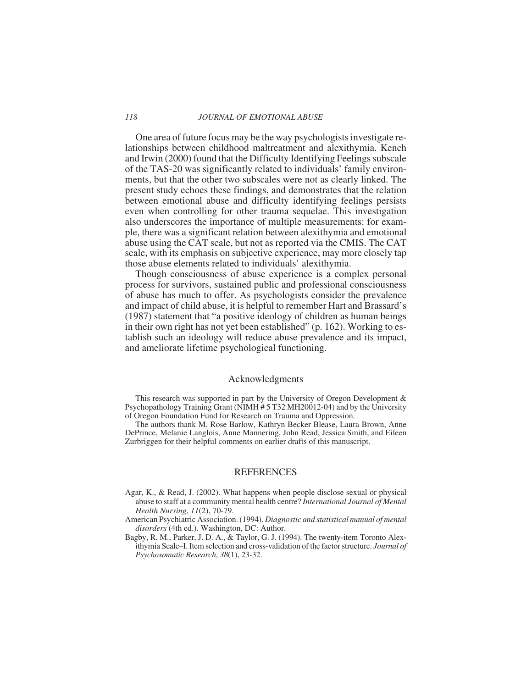#### *118 JOURNAL OF EMOTIONAL ABUSE*

One area of future focus may be the way psychologists investigate relationships between childhood maltreatment and alexithymia. Kench and Irwin (2000) found that the Difficulty Identifying Feelings subscale of the TAS-20 was significantly related to individuals' family environments, but that the other two subscales were not as clearly linked. The present study echoes these findings, and demonstrates that the relation between emotional abuse and difficulty identifying feelings persists even when controlling for other trauma sequelae. This investigation also underscores the importance of multiple measurements: for example, there was a significant relation between alexithymia and emotional abuse using the CAT scale, but not as reported via the CMIS. The CAT scale, with its emphasis on subjective experience, may more closely tap those abuse elements related to individuals' alexithymia.

Though consciousness of abuse experience is a complex personal process for survivors, sustained public and professional consciousness of abuse has much to offer. As psychologists consider the prevalence and impact of child abuse, it is helpful to remember Hart and Brassard's (1987) statement that "a positive ideology of children as human beings in their own right has not yet been established" (p. 162). Working to establish such an ideology will reduce abuse prevalence and its impact, and ameliorate lifetime psychological functioning.

### Acknowledgments

This research was supported in part by the University of Oregon Development  $\&$ Psychopathology Training Grant (NIMH # 5 T32 MH20012-04) and by the University of Oregon Foundation Fund for Research on Trauma and Oppression.

The authors thank M. Rose Barlow, Kathryn Becker Blease, Laura Brown, Anne DePrince, Melanie Langlois, Anne Mannering, John Read, Jessica Smith, and Eileen Zurbriggen for their helpful comments on earlier drafts of this manuscript.

# REFERENCES

- Agar, K., & Read, J. (2002). What happens when people disclose sexual or physical abuse to staff at a community mental health centre? *International Journal of Mental Health Nursing*, *11*(2), 70-79.
- American Psychiatric Association. (1994). *Diagnostic and statistical manual of mental disorders* (4th ed.). Washington, DC: Author.
- Bagby, R. M., Parker, J. D. A., & Taylor, G. J. (1994). The twenty-item Toronto Alexithymia Scale–I. Item selection and cross-validation of the factor structure. *Journal of Psychosomatic Research*, *38*(1), 23-32.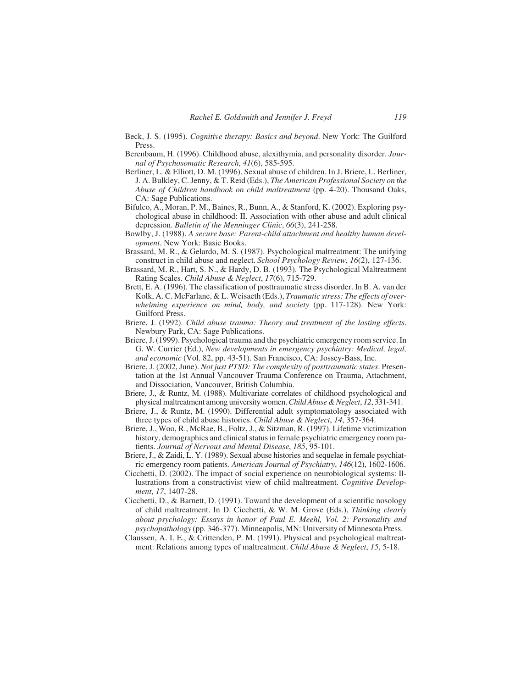- Beck, J. S. (1995). *Cognitive therapy: Basics and beyond*. New York: The Guilford Press.
- Berenbaum, H. (1996). Childhood abuse, alexithymia, and personality disorder. *Journal of Psychosomatic Research*, *41*(6), 585-595.
- Berliner, L. & Elliott, D. M. (1996). Sexual abuse of children. In J. Briere, L. Berliner, J. A. Bulkley, C. Jenny, & T. Reid (Eds.), *The American Professional Society on the Abuse of Children handbook on child maltreatment* (pp. 4-20). Thousand Oaks, CA: Sage Publications.
- Bifulco, A., Moran, P. M., Baines, R., Bunn, A., & Stanford, K. (2002). Exploring psychological abuse in childhood: II. Association with other abuse and adult clinical depression. *Bulletin of the Menninger Clinic*, *66*(3), 241-258.
- Bowlby, J. (1988). *A secure base: Parent-child attachment and healthy human development*. New York: Basic Books.
- Brassard, M. R., & Gelardo, M. S. (1987). Psychological maltreatment: The unifying construct in child abuse and neglect. *School Psychology Review*, *16*(2), 127-136.
- Brassard, M. R., Hart, S. N., & Hardy, D. B. (1993). The Psychological Maltreatment Rating Scales. *Child Abuse & Neglect*, *17*(6), 715-729.
- Brett, E. A. (1996). The classification of posttraumatic stress disorder. In B. A. van der Kolk, A. C. McFarlane, & L. Weisaeth (Eds.), *Traumatic stress: The effects of overwhelming experience on mind, body, and society* (pp. 117-128). New York: Guilford Press.
- Briere, J. (1992). *Child abuse trauma: Theory and treatment of the lasting effects*. Newbury Park, CA: Sage Publications.
- Briere, J. (1999). Psychological trauma and the psychiatric emergency room service. In G. W. Currier (Ed.), *New developments in emergency psychiatry: Medical, legal, and economic* (Vol. 82, pp. 43-51). San Francisco, CA: Jossey-Bass, Inc.
- Briere, J. (2002, June). *Not just PTSD: The complexity of posttraumatic states*. Presentation at the 1st Annual Vancouver Trauma Conference on Trauma, Attachment, and Dissociation, Vancouver, British Columbia.
- Briere, J., & Runtz, M. (1988). Multivariate correlates of childhood psychological and physical maltreatment among university women.*Child Abuse & Neglect*, *12*, 331-341.
- Briere, J., & Runtz, M. (1990). Differential adult symptomatology associated with three types of child abuse histories. *Child Abuse & Neglect*, *14*, 357-364.
- Briere, J., Woo, R., McRae, B., Foltz, J., & Sitzman, R. (1997). Lifetime victimization history, demographics and clinical status in female psychiatric emergency room patients. *Journal of Nervous and Mental Disease*, *185*, 95-101.
- Briere, J., & Zaidi, L. Y. (1989). Sexual abuse histories and sequelae in female psychiatric emergency room patients. *American Journal of Psychiatry*, *146*(12), 1602-1606.
- Cicchetti, D. (2002). The impact of social experience on neurobiological systems: Illustrations from a constructivist view of child maltreatment. *Cognitive Development*, *17*, 1407-28.
- Cicchetti, D., & Barnett, D. (1991). Toward the development of a scientific nosology of child maltreatment. In D. Cicchetti, & W. M. Grove (Eds.), *Thinking clearly about psychology: Essays in honor of Paul E. Meehl, Vol. 2: Personality and psychopathology* (pp. 346-377). Minneapolis, MN: University of Minnesota Press.
- Claussen, A. I. E., & Crittenden, P. M. (1991). Physical and psychological maltreatment: Relations among types of maltreatment. *Child Abuse & Neglect*, *15*, 5-18.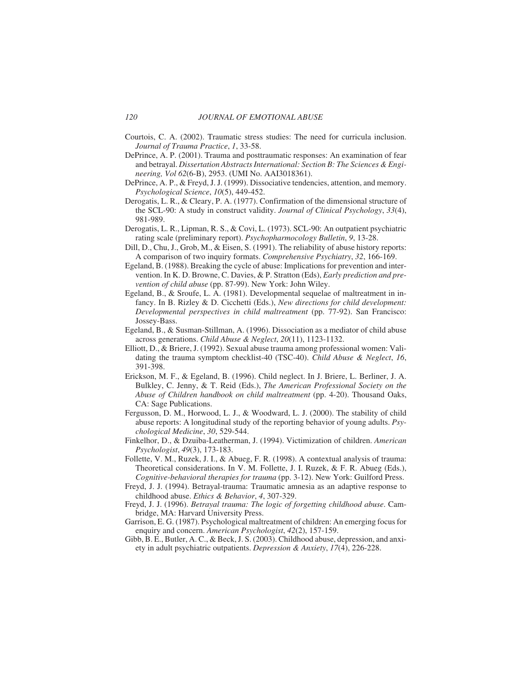- Courtois, C. A. (2002). Traumatic stress studies: The need for curricula inclusion. *Journal of Trauma Practice*, *1*, 33-58.
- DePrince, A. P. (2001). Trauma and posttraumatic responses: An examination of fear and betrayal. *Dissertation Abstracts International: Section B: The Sciences & Engineering, Vol 62*(6-B), 2953. (UMI No. AAI3018361).
- DePrince, A. P., & Freyd, J. J. (1999). Dissociative tendencies, attention, and memory. *Psychological Science*, *10*(5), 449-452.
- Derogatis, L. R., & Cleary, P. A. (1977). Confirmation of the dimensional structure of the SCL-90: A study in construct validity. *Journal of Clinical Psychology*, *33*(4), 981-989.
- Derogatis, L. R., Lipman, R. S., & Covi, L. (1973). SCL-90: An outpatient psychiatric rating scale (preliminary report). *Psychopharmocology Bulletin*, *9*, 13-28.
- Dill, D., Chu, J., Grob, M., & Eisen, S. (1991). The reliability of abuse history reports: A comparison of two inquiry formats. *Comprehensive Psychiatry*, *32*, 166-169.
- Egeland, B. (1988). Breaking the cycle of abuse: Implications for prevention and intervention. In K. D. Browne, C. Davies, & P. Stratton (Eds), *Early prediction and prevention of child abuse* (pp. 87-99). New York: John Wiley.
- Egeland, B., & Sroufe, L. A. (1981). Developmental sequelae of maltreatment in infancy. In B. Rizley & D. Cicchetti (Eds.), *New directions for child development: Developmental perspectives in child maltreatment* (pp. 77-92). San Francisco: Jossey-Bass.
- Egeland, B., & Susman-Stillman, A. (1996). Dissociation as a mediator of child abuse across generations. *Child Abuse & Neglect*, *20*(11), 1123-1132.
- Elliott, D., & Briere, J. (1992). Sexual abuse trauma among professional women: Validating the trauma symptom checklist-40 (TSC-40). *Child Abuse & Neglect*, *16*, 391-398.
- Erickson, M. F., & Egeland, B. (1996). Child neglect. In J. Briere, L. Berliner, J. A. Bulkley, C. Jenny, & T. Reid (Eds.), *The American Professional Society on the Abuse of Children handbook on child maltreatment* (pp. 4-20). Thousand Oaks, CA: Sage Publications.
- Fergusson, D. M., Horwood, L. J., & Woodward, L. J. (2000). The stability of child abuse reports: A longitudinal study of the reporting behavior of young adults. *Psychological Medicine*, *30*, 529-544.
- Finkelhor, D., & Dzuiba-Leatherman, J. (1994). Victimization of children. *American Psychologist*, *49*(3), 173-183.
- Follette, V. M., Ruzek, J. I., & Abueg, F. R. (1998). A contextual analysis of trauma: Theoretical considerations. In V. M. Follette, J. I. Ruzek, & F. R. Abueg (Eds.), *Cognitive-behavioral therapies for trauma* (pp. 3-12). New York: Guilford Press.
- Freyd, J. J. (1994). Betrayal-trauma: Traumatic amnesia as an adaptive response to childhood abuse. *Ethics & Behavior*, *4*, 307-329.
- Freyd, J. J. (1996). *Betrayal trauma: The logic of forgetting childhood abuse*. Cambridge, MA: Harvard University Press.
- Garrison, E. G. (1987). Psychological maltreatment of children: An emerging focus for enquiry and concern. *American Psychologist*, *42*(2), 157-159.
- Gibb, B. E., Butler, A. C., & Beck, J. S. (2003). Childhood abuse, depression, and anxiety in adult psychiatric outpatients. *Depression & Anxiety*, *17*(4), 226-228.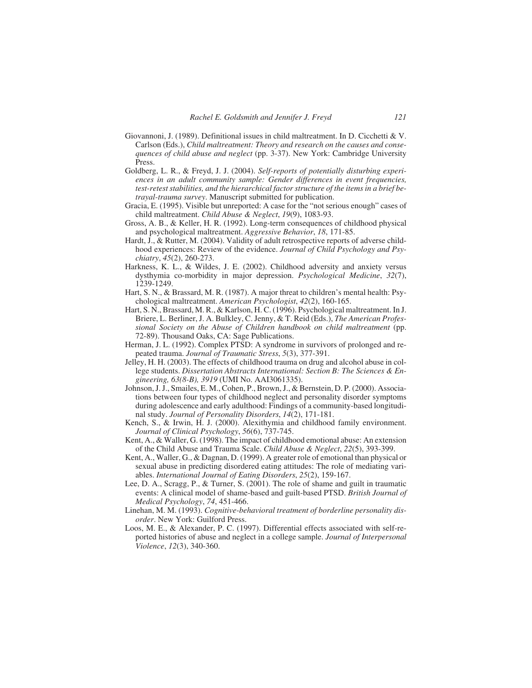- Giovannoni, J. (1989). Definitional issues in child maltreatment. In D. Cicchetti & V. Carlson (Eds.), *Child maltreatment: Theory and research on the causes and consequences of child abuse and neglect* (pp. 3-37). New York: Cambridge University Press.
- Goldberg, L. R., & Freyd, J. J. (2004). *Self-reports of potentially disturbing experiences in an adult community sample: Gender differences in event frequencies, test-retest stabilities, and the hierarchical factor structure of the items in a brief betrayal-trauma survey*. Manuscript submitted for publication.
- Gracia, E. (1995). Visible but unreported: A case for the "not serious enough" cases of child maltreatment. *Child Abuse & Neglect*, *19*(9), 1083-93.
- Gross, A. B., & Keller, H. R. (1992). Long-term consequences of childhood physical and psychological maltreatment. *Aggressive Behavior*, *18*, 171-85.
- Hardt, J., & Rutter, M. (2004). Validity of adult retrospective reports of adverse childhood experiences: Review of the evidence. *Journal of Child Psychology and Psychiatry*, *45*(2), 260-273.
- Harkness, K. L., & Wildes, J. E. (2002). Childhood adversity and anxiety versus dysthymia co-morbidity in major depression. *Psychological Medicine*, *32*(7), 1239-1249.
- Hart, S. N., & Brassard, M. R. (1987). A major threat to children's mental health: Psychological maltreatment. *American Psychologist*, *42*(2), 160-165.
- Hart, S. N., Brassard, M. R., & Karlson, H. C. (1996). Psychological maltreatment. In J. Briere, L. Berliner, J. A. Bulkley, C. Jenny, & T. Reid (Eds.), *The American Professional Society on the Abuse of Children handbook on child maltreatment* (pp. 72-89). Thousand Oaks, CA: Sage Publications.
- Herman, J. L. (1992). Complex PTSD: A syndrome in survivors of prolonged and repeated trauma. *Journal of Traumatic Stress*, *5*(3), 377-391.
- Jelley, H. H. (2003). The effects of childhood trauma on drug and alcohol abuse in college students. *Dissertation Abstracts International: Section B: The Sciences & Engineering, 63(8-B), 3919* (UMI No. AAI3061335).
- Johnson, J. J., Smailes, E. M., Cohen, P., Brown, J., & Bernstein, D. P. (2000). Associations between four types of childhood neglect and personality disorder symptoms during adolescence and early adulthood: Findings of a community-based longitudinal study. *Journal of Personality Disorders*, *14*(2), 171-181.
- Kench, S., & Irwin, H. J. (2000). Alexithymia and childhood family environment. *Journal of Clinical Psychology*, *56*(6), 737-745.
- Kent, A., & Waller, G. (1998). The impact of childhood emotional abuse: An extension of the Child Abuse and Trauma Scale. *Child Abuse & Neglect*, *22*(5), 393-399.
- Kent, A., Waller, G., & Dagnan, D. (1999). A greater role of emotional than physical or sexual abuse in predicting disordered eating attitudes: The role of mediating variables. *International Journal of Eating Disorders*, *25*(2), 159-167.
- Lee, D. A., Scragg, P., & Turner, S. (2001). The role of shame and guilt in traumatic events: A clinical model of shame-based and guilt-based PTSD. *British Journal of Medical Psychology*, *74*, 451-466.
- Linehan, M. M. (1993). *Cognitive-behavioral treatment of borderline personality disorder*. New York: Guilford Press.
- Loos, M. E., & Alexander, P. C. (1997). Differential effects associated with self-reported histories of abuse and neglect in a college sample. *Journal of Interpersonal Violence*, *12*(3), 340-360.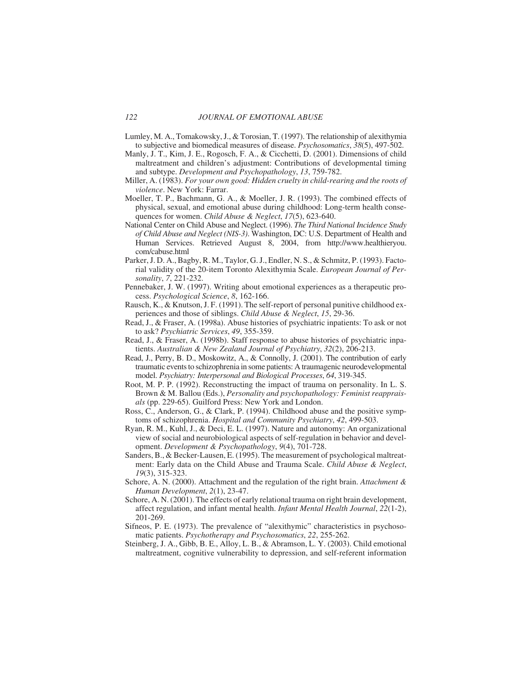- Lumley, M. A., Tomakowsky, J., & Torosian, T. (1997). The relationship of alexithymia to subjective and biomedical measures of disease. *Psychosomatics*, *38*(5), 497-502.
- Manly, J. T., Kim, J. E., Rogosch, F. A., & Cicchetti, D. (2001). Dimensions of child maltreatment and children's adjustment: Contributions of developmental timing and subtype. *Development and Psychopathology*, *13*, 759-782.
- Miller, A. (1983). *For your own good: Hidden cruelty in child-rearing and the roots of violence*. New York: Farrar.
- Moeller, T. P., Bachmann, G. A., & Moeller, J. R. (1993). The combined effects of physical, sexual, and emotional abuse during childhood: Long-term health consequences for women. *Child Abuse & Neglect*, *17*(5), 623-640.
- National Center on Child Abuse and Neglect. (1996). *The Third National Incidence Study of Child Abuse and Neglect (NIS-3)*. Washington, DC: U.S. Department of Health and Human Services. Retrieved August 8, 2004, from http://www.healthieryou. com/cabuse.html
- Parker, J. D. A., Bagby, R. M., Taylor, G. J., Endler, N. S., & Schmitz, P. (1993). Factorial validity of the 20-item Toronto Alexithymia Scale. *European Journal of Personality*, *7*, 221-232.
- Pennebaker, J. W. (1997). Writing about emotional experiences as a therapeutic process. *Psychological Science*, *8*, 162-166.
- Rausch, K., & Knutson, J. F. (1991). The self-report of personal punitive childhood experiences and those of siblings. *Child Abuse & Neglect*, *15*, 29-36.
- Read, J., & Fraser, A. (1998a). Abuse histories of psychiatric inpatients: To ask or not to ask? *Psychiatric Services*, *49*, 355-359.
- Read, J., & Fraser, A. (1998b). Staff response to abuse histories of psychiatric inpatients. *Australian & New Zealand Journal of Psychiatry*, *32*(2), 206-213.
- Read, J., Perry, B. D., Moskowitz, A., & Connolly, J. (2001). The contribution of early traumatic events to schizophrenia in some patients: A traumagenic neurodevelopmental model. *Psychiatry: Interpersonal and Biological Processes*, *64*, 319-345.
- Root, M. P. P. (1992). Reconstructing the impact of trauma on personality. In L. S. Brown & M. Ballou (Eds.), *Personality and psychopathology: Feminist reappraisals* (pp. 229-65). Guilford Press: New York and London.
- Ross, C., Anderson, G., & Clark, P. (1994). Childhood abuse and the positive symptoms of schizophrenia. *Hospital and Community Psychiatry*, *42*, 499-503.
- Ryan, R. M., Kuhl, J., & Deci, E. L. (1997). Nature and autonomy: An organizational view of social and neurobiological aspects of self-regulation in behavior and development. *Development & Psychopathology*, *9*(4), 701-728.
- Sanders, B., & Becker-Lausen, E. (1995). The measurement of psychological maltreatment: Early data on the Child Abuse and Trauma Scale. *Child Abuse & Neglect*, *19*(3), 315-323.
- Schore, A. N. (2000). Attachment and the regulation of the right brain. *Attachment & Human Development*, *2*(1), 23-47.
- Schore, A. N. (2001). The effects of early relational trauma on right brain development, affect regulation, and infant mental health. *Infant Mental Health Journal*, *22*(1-2), 201-269.
- Sifneos, P. E. (1973). The prevalence of "alexithymic" characteristics in psychosomatic patients. *Psychotherapy and Psychosomatics*, *22*, 255-262.
- Steinberg, J. A., Gibb, B. E., Alloy, L. B., & Abramson, L. Y. (2003). Child emotional maltreatment, cognitive vulnerability to depression, and self-referent information